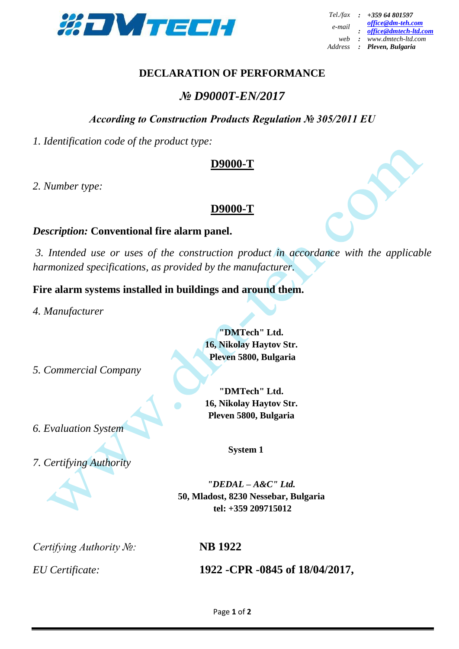

## **DECLARATION OF PERFORMANCE**

# *№ D9000T-EN/2017*

## *According to Construction Products Regulation № 305/2011 EU*

*1. Identification code of the product type:*

## **D9000-T**

*2. Number type:* 

## **D9000-T**

#### *Description:* **Conventional fire alarm panel.**

*3. Intended use or uses of the construction product in accordance with the applicable harmonized specifications, as provided by the manufacturer.* 

#### **Fire alarm systems installed in buildings and around them.**

*4. Manufacturer*

*5. Commercial Company* 

*6. Evaluation System*

*7. Certifying Authority*

**"DMTech" Ltd. 16, Nikolay Haytov Str. Pleven 5800, Bulgaria**

**"DMTech" Ltd. 16, Nikolay Haytov Str. Pleven 5800, Bulgaria**

**System 1**

*"DEDAL – A&C" Ltd.* **50, Mladost, 8230 Nessebar, Bulgaria tel: +359 209715012**

*Certifying Authority №:* **NB 1922**

*EU Certificate:* **1922 -CPR -0845 of 18/04/2017,**